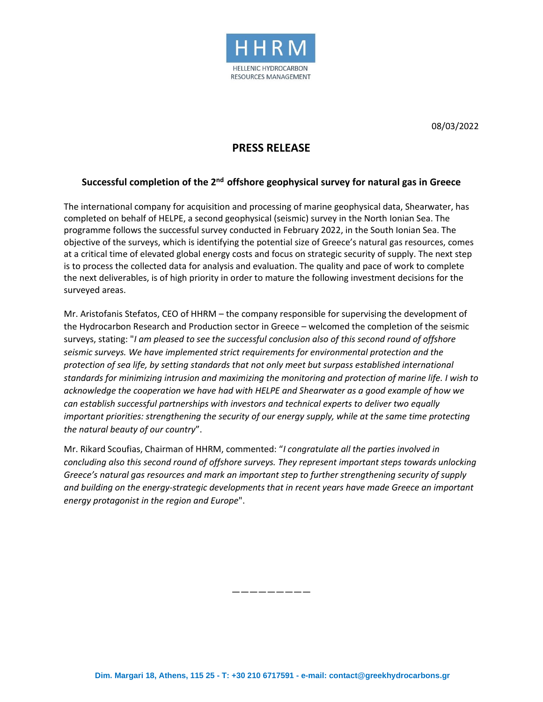

08/03/2022

## **PRESS RELEASE**

## **Successful completion of the 2 nd offshore geophysical survey for natural gas in Greece**

The international company for acquisition and processing of marine geophysical data, Shearwater, has completed on behalf of ΗELPE, a second geophysical (seismic) survey in the North Ionian Sea. The programme follows the successful survey conducted in February 2022, in the South Ionian Sea. The objective of the surveys, which is identifying the potential size of Greece's natural gas resources, comes at a critical time of elevated global energy costs and focus on strategic security of supply. The next step is to process the collected data for analysis and evaluation. The quality and pace of work to complete the next deliverables, is of high priority in order to mature the following investment decisions for the surveyed areas.

Mr. Aristofanis Stefatos, CEO of HHRM – the company responsible for supervising the development of the Hydrocarbon Research and Production sector in Greece – welcomed the completion of the seismic surveys, stating: "*I am pleased to see the successful conclusion also of this second round of offshore seismic surveys. We have implemented strict requirements for environmental protection and the protection of sea life, by setting standards that not only meet but surpass established international standards for minimizing intrusion and maximizing the monitoring and protection of marine life. I wish to acknowledge the cooperation we have had with HELPE and Shearwater as a good example of how we can establish successful partnerships with investors and technical experts to deliver two equally important priorities: strengthening the security of our energy supply, while at the same time protecting the natural beauty of our country*".

Mr. Rikard Scoufias, Chairman of HHRM, commented: "*I congratulate all the parties involved in concluding also this second round of offshore surveys. They represent important steps towards unlocking Greece's natural gas resources and mark an important step to further strengthening security of supply and building on the energy-strategic developments that in recent years have made Greece an important energy protagonist in the region and Europe*".

—————————